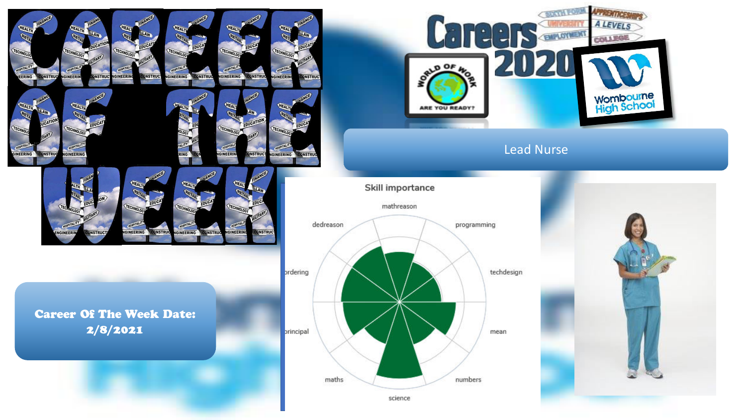

**IGINEERING** 

**CONSTRUC** 

GINEERII

**INSTRU** 

Career Of The Week Date: 2/8/2021

**GINEERING** 

**ONSTRUC** 

**GINEER** 



 $00F$ 

 $\bullet$ 

 $\bullet$ 

 $\overline{A}$ 



**CRATH FORM** 

**ENTIRERT** 

AFFERTINGS **A LEVELS** 

**COLLEGE** 

**Wombourne**<br>High School

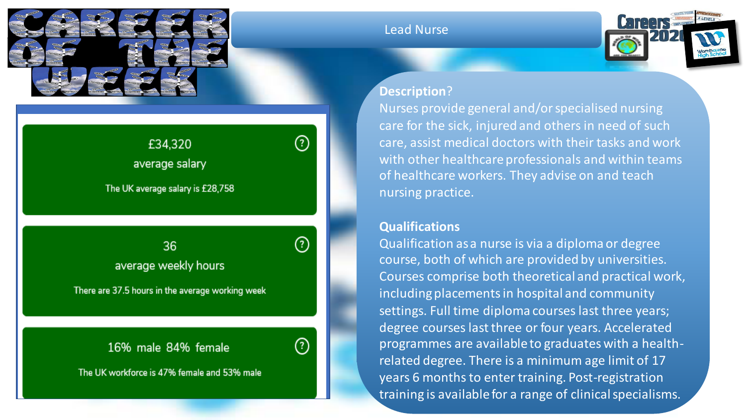

# £34,320 average salary

The UK average salary is £28,758

Insert avert available  $\sim$  36  $\sim$   $\sim$   $\sim$   $\sim$   $\sim$   $\sim$ average weekly hours

There are 37.5 hours in the average working week

## 16% male 84% female



②

The UK workforce is 47% female and 53% male

#### Lead Nurse



#### **Description**?

Nurses provide general and/or specialised nursing care for the sick, injured and others in need of such care, assist medical doctors with their tasks and work with other healthcare professionals and within teams of healthcare workers. They advise on and teach nursing practice.

### **Qualifications**

Qualification as a nurse is via a diploma or degree course, both of which are provided by universities. Courses comprise both theoretical and practical work, including placements in hospital and community settings. Full time diploma courses last three years; degree courses last three or four years. Accelerated programmes are available to graduates with a healthrelated degree. There is a minimum age limit of 17 years 6 months to enter training. Post-registration training is available for a range of clinical specialisms.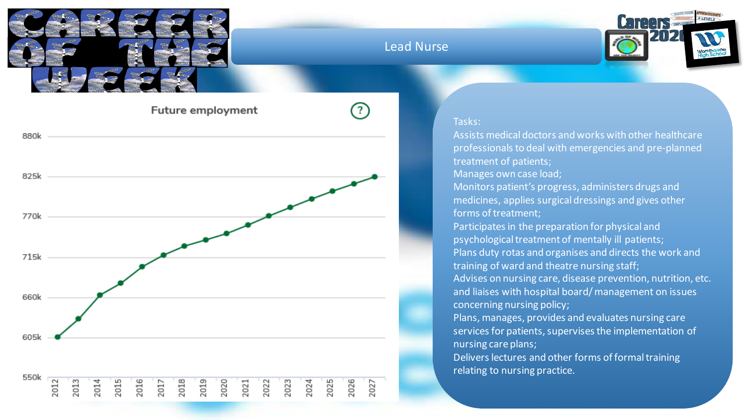

Lead Nurse



**Future employment** 



#### Tasks:

Assists medical doctors and works with other healthcare professionals to deal with emergencies and pre-planned treatment of patients;

Manages own case load;

Monitors patient's progress, administers drugs and medicines, applies surgical dressings and gives other forms of treatment;

Participates in the preparation for physical and psychological treatment of mentally ill patients; Plans duty rotas and organises and directs the work and training of ward and theatre nursing staff; Advises on nursing care, disease prevention, nutrition, etc. and liaises with hospital board/ management on issues concerning nursing policy;

Plans, manages, provides and evaluates nursing care services for patients, supervises the implementation of nursing care plans;

Delivers lectures and other forms of formal training relating to nursing practice.